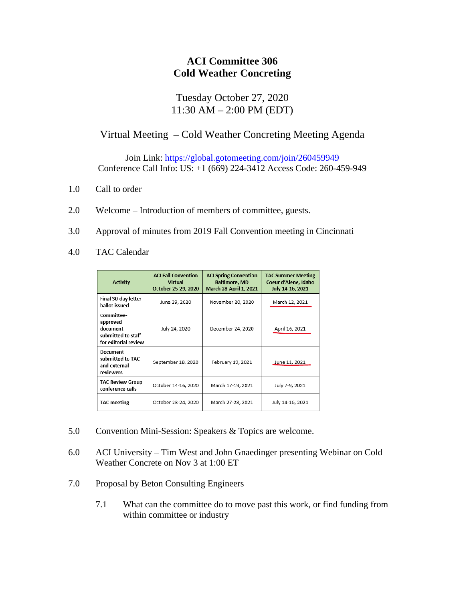## **ACI Committee 306 Cold Weather Concreting**

## Tuesday October 27, 2020 11:30 AM – 2:00 PM (EDT)

## Virtual Meeting – Cold Weather Concreting Meeting Agenda

Join Link: https://global.gotomeeting.com/join/260459949 Conference Call Info: US: +1 (669) 224-3412 Access Code: 260-459-949

- 1.0 Call to order
- 2.0 Welcome Introduction of members of committee, guests.
- 3.0 Approval of minutes from 2019 Fall Convention meeting in Cincinnati
- 4.0 TAC Calendar

| <b>Activity</b>                                                                  | <b>ACI Fall Convention</b><br>Virtual<br>October 25-29, 2020 | <b>ACI Spring Convention</b><br><b>Baltimore, MD</b><br><b>March 28-April 1, 2021</b> | <b>TAC Summer Meeting</b><br>Coeur d'Alene, Idaho<br>July 14-16, 2021 |
|----------------------------------------------------------------------------------|--------------------------------------------------------------|---------------------------------------------------------------------------------------|-----------------------------------------------------------------------|
| Final 30-day letter<br>ballot issued                                             | June 29, 2020                                                | November 20, 2020                                                                     | March 12, 2021                                                        |
| Committee-<br>approved<br>document<br>submitted to staff<br>for editorial review | July 24, 2020                                                | December 24, 2020                                                                     | April 16, 2021                                                        |
| Document<br>submitted to TAC<br>and external<br>reviewers                        | September 18, 2020                                           | February 19, 2021                                                                     | June 11, 2021                                                         |
| <b>TAC Review Group</b><br>conference calls                                      | October 14-16, 2020                                          | March 17-19, 2021                                                                     | July 7-9, 2021                                                        |
| <b>TAC</b> meeting                                                               | October 23-24, 2020                                          | March 27-28, 2021                                                                     | July 14-16, 2021                                                      |

- 5.0 Convention Mini-Session: Speakers & Topics are welcome.
- 6.0 ACI University Tim West and John Gnaedinger presenting Webinar on Cold Weather Concrete on Nov 3 at 1:00 ET
- 7.0 Proposal by Beton Consulting Engineers
	- 7.1 What can the committee do to move past this work, or find funding from within committee or industry